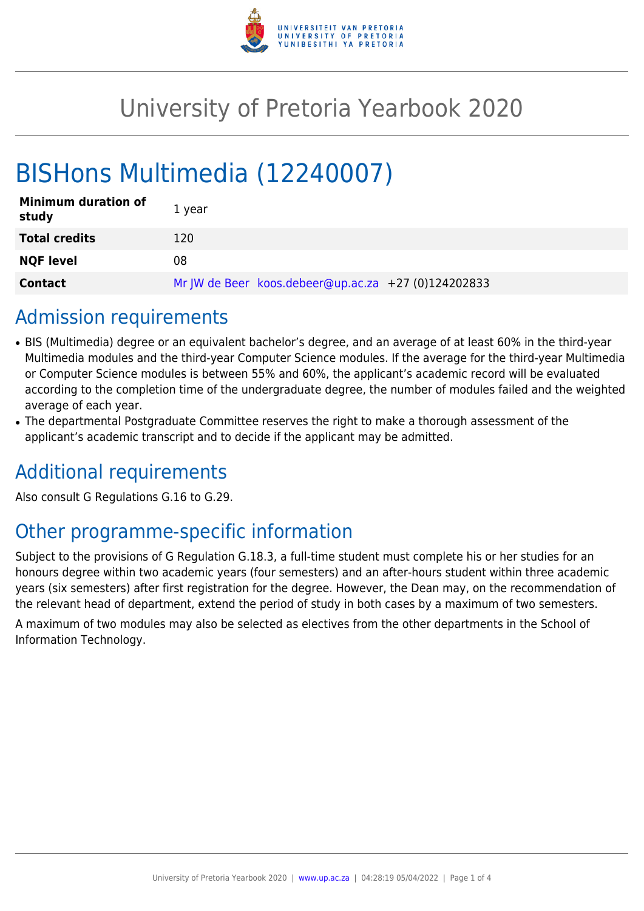

# University of Pretoria Yearbook 2020

# BISHons Multimedia (12240007)

| <b>Minimum duration of</b><br>study | 1 year                                              |
|-------------------------------------|-----------------------------------------------------|
| <b>Total credits</b>                | 120                                                 |
| <b>NQF level</b>                    | 08                                                  |
| <b>Contact</b>                      | Mr JW de Beer koos.debeer@up.ac.za +27 (0)124202833 |

# Admission requirements

- BIS (Multimedia) degree or an equivalent bachelor's degree, and an average of at least 60% in the third-year Multimedia modules and the third-year Computer Science modules. If the average for the third-year Multimedia or Computer Science modules is between 55% and 60%, the applicant's academic record will be evaluated according to the completion time of the undergraduate degree, the number of modules failed and the weighted average of each year.
- The departmental Postgraduate Committee reserves the right to make a thorough assessment of the applicant's academic transcript and to decide if the applicant may be admitted.

# Additional requirements

Also consult G Regulations G.16 to G.29.

# Other programme-specific information

Subject to the provisions of G Regulation G.18.3, a full-time student must complete his or her studies for an honours degree within two academic years (four semesters) and an after-hours student within three academic years (six semesters) after first registration for the degree. However, the Dean may, on the recommendation of the relevant head of department, extend the period of study in both cases by a maximum of two semesters.

A maximum of two modules may also be selected as electives from the other departments in the School of Information Technology.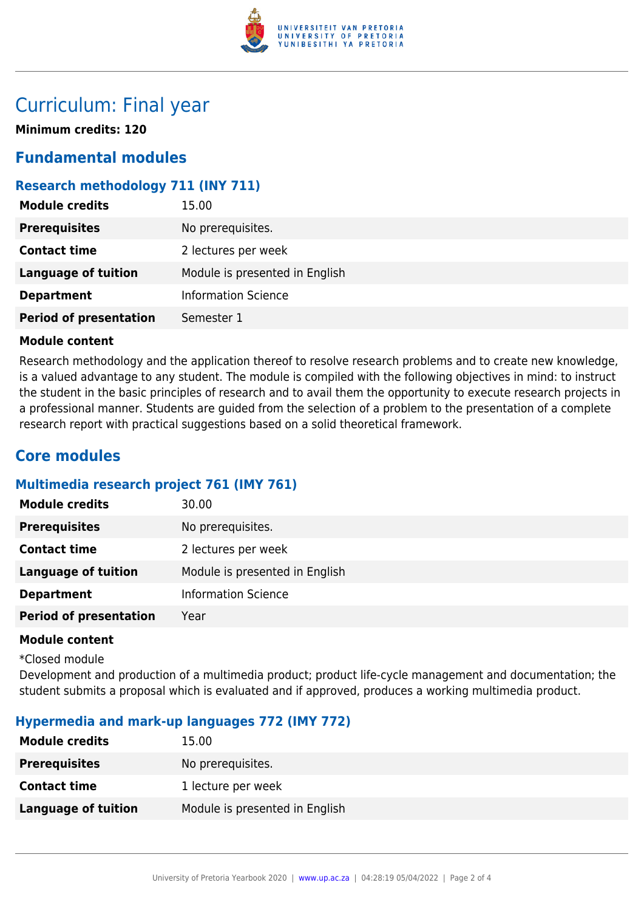

# Curriculum: Final year

**Minimum credits: 120**

# **Fundamental modules**

### **Research methodology 711 (INY 711)**

| <b>Module credits</b>         | 15.00                          |
|-------------------------------|--------------------------------|
| <b>Prerequisites</b>          | No prerequisites.              |
| <b>Contact time</b>           | 2 lectures per week            |
| <b>Language of tuition</b>    | Module is presented in English |
| <b>Department</b>             | <b>Information Science</b>     |
| <b>Period of presentation</b> | Semester 1                     |

#### **Module content**

Research methodology and the application thereof to resolve research problems and to create new knowledge, is a valued advantage to any student. The module is compiled with the following objectives in mind: to instruct the student in the basic principles of research and to avail them the opportunity to execute research projects in a professional manner. Students are guided from the selection of a problem to the presentation of a complete research report with practical suggestions based on a solid theoretical framework.

## **Core modules**

#### **Multimedia research project 761 (IMY 761)**

| 30.00                          |
|--------------------------------|
| No prerequisites.              |
| 2 lectures per week            |
| Module is presented in English |
| <b>Information Science</b>     |
| Year                           |
|                                |

#### **Module content**

\*Closed module

Development and production of a multimedia product; product life-cycle management and documentation; the student submits a proposal which is evaluated and if approved, produces a working multimedia product.

#### **Hypermedia and mark-up languages 772 (IMY 772)**

| <b>Module credits</b>      | 15.00                          |
|----------------------------|--------------------------------|
| <b>Prerequisites</b>       | No prerequisites.              |
| <b>Contact time</b>        | 1 lecture per week             |
| <b>Language of tuition</b> | Module is presented in English |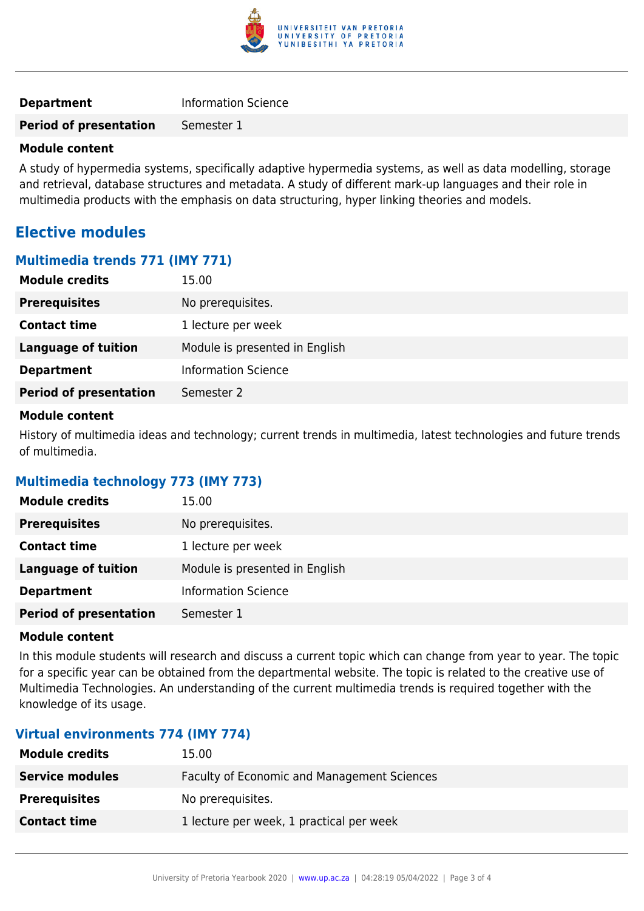

| <b>Department</b>             | <b>Information Science</b> |
|-------------------------------|----------------------------|
| <b>Period of presentation</b> | Semester 1                 |

#### **Module content**

A study of hypermedia systems, specifically adaptive hypermedia systems, as well as data modelling, storage and retrieval, database structures and metadata. A study of different mark-up languages and their role in multimedia products with the emphasis on data structuring, hyper linking theories and models.

# **Elective modules**

#### **Multimedia trends 771 (IMY 771)**

| <b>Module credits</b>         | 15.00                          |
|-------------------------------|--------------------------------|
| <b>Prerequisites</b>          | No prerequisites.              |
| <b>Contact time</b>           | 1 lecture per week             |
| <b>Language of tuition</b>    | Module is presented in English |
| <b>Department</b>             | <b>Information Science</b>     |
| <b>Period of presentation</b> | Semester 2                     |

#### **Module content**

History of multimedia ideas and technology; current trends in multimedia, latest technologies and future trends of multimedia.

### **Multimedia technology 773 (IMY 773)**

| <b>Module credits</b>         | 15.00                          |
|-------------------------------|--------------------------------|
| <b>Prerequisites</b>          | No prerequisites.              |
| <b>Contact time</b>           | 1 lecture per week             |
| <b>Language of tuition</b>    | Module is presented in English |
| <b>Department</b>             | <b>Information Science</b>     |
| <b>Period of presentation</b> | Semester 1                     |

#### **Module content**

In this module students will research and discuss a current topic which can change from year to year. The topic for a specific year can be obtained from the departmental website. The topic is related to the creative use of Multimedia Technologies. An understanding of the current multimedia trends is required together with the knowledge of its usage.

#### **Virtual environments 774 (IMY 774)**

| 15.00                                       |
|---------------------------------------------|
| Faculty of Economic and Management Sciences |
| No prerequisites.                           |
| 1 lecture per week, 1 practical per week    |
|                                             |